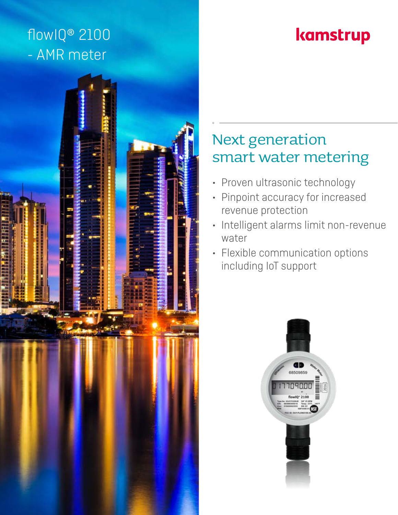## flowIQ® 2100 - AMR meter

# kamstrup



### Next generation smart water metering

- Proven ultrasonic technology
- Pinpoint accuracy for increased revenue protection
- Intelligent alarms limit non-revenue water
- Flexible communication options including IoT support

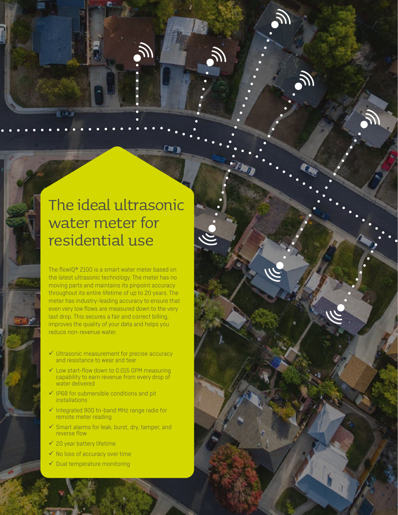### The ideal ultrasonic water meter for residential use

i a 1

The flowIQ® 2100 is a smart water meter based on the latest ultrasonic technology. The meter has no moving parts and maintains its pinpoint accuracy throughout its entire lifetime of up to 20 years. The meter has industry-leading accuracy to ensure that even very low flows are measured down to the very last drop. This secures a fair and correct billing, improves the quality of your data and helps you reduce non-revenue water.

- $\checkmark$  Ultrasonic measurement for precise accuracy and resistance to wear and tear
- $\checkmark$  Low start-flow down to 0.015 GPM measuring capability to earn revenue from every drop of water delivered
- $\checkmark$  IP68 for submersible conditions and pit **installations**
- $\checkmark$  Integrated 900 tri-band MHz range radio for remote meter reading
- $\checkmark$  Smart alarms for leak, burst, dry, tamper, and reverse flow
- $\checkmark$  20 year battery lifetime
- $\checkmark$  No loss of accuracy over time
- $\checkmark$  Dual temperature monitoring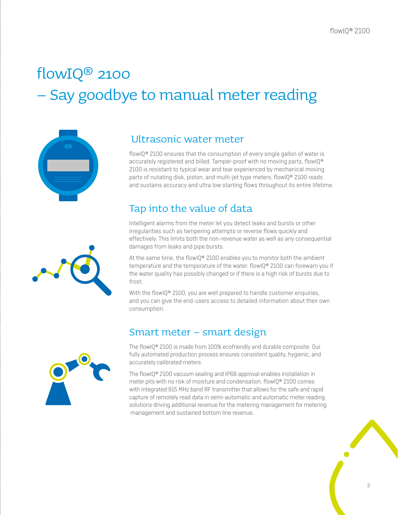# flowIQ® 2100 – Say goodbye to manual meter reading



#### Ultrasonic water meter

flowIQ® 2100 ensures that the consumption of every single gallon of water is accurately registered and billed. Tamper-proof with no moving parts, flowIQ® 2100 is resistant to typical wear and tear experienced by mechanical moving parts of nutating disk, piston, and multi-jet type meters. flowIQ® 2100 reads and sustains accuracy and ultra low starting flows throughout its entire lifetime.

### Tap into the value of data

Intelligent alarms from the meter let you detect leaks and bursts or other irregularities such as tampering attempts or reverse flows quickly and effectively. This limits both the non-revenue water as well as any consequential damages from leaks and pipe bursts.

At the same time, the flowIQ® 2100 enables you to monitor both the ambient temperature and the temperature of the water. flowIQ® 2100 can forewarn you if the water quality has possibly changed or if there is a high risk of bursts due to frost.

With the flowIQ® 2100, you are well prepared to handle customer enquiries, and you can give the end-users access to detailed information about their own consumption.

### Smart meter – smart design

The flowIQ® 2100 is made from 100% ecofriendly and durable composite. Our fully automated production process ensures consistent quality, hygienic, and accurately calibrated meters.

The flowIQ® 2100 vacuum sealing and IP68 approval enables installation in meter pits with no risk of moisture and condensation. flowIQ® 2100 comes with integrated 915 MHz band RF transmitter that allows for the safe and rapid capture of remotely read data in semi-automatic and automatic meter reading solutions driving additional revenue for the metering management for metering management and sustained bottom line revenue.